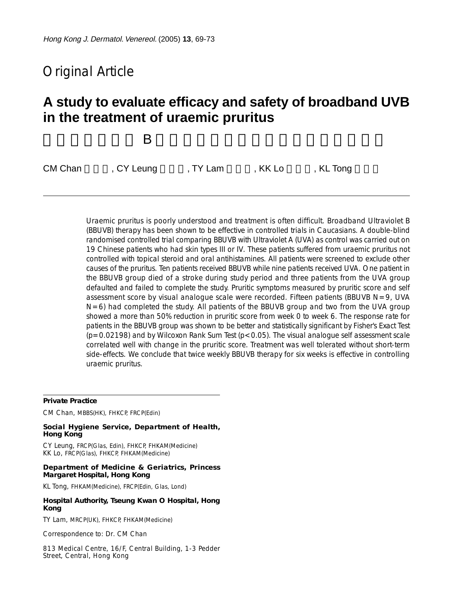# Original Article

# **A study to evaluate efficacy and safety of broadband UVB in the treatment of uraemic pruritus**

# 評定寬頻紫外線 B 治療尿毒症瘙癢的有效性及安全性研究

```
CM Chan (CY Leung , TY Lam , KK Lo , KL Tong
```
Uraemic pruritus is poorly understood and treatment is often difficult. Broadband Ultraviolet B (BBUVB) therapy has been shown to be effective in controlled trials in Caucasians. A double-blind randomised controlled trial comparing BBUVB with Ultraviolet A (UVA) as control was carried out on 19 Chinese patients who had skin types III or IV. These patients suffered from uraemic pruritus not controlled with topical steroid and oral antihistamines. All patients were screened to exclude other causes of the pruritus. Ten patients received BBUVB while nine patients received UVA. One patient in the BBUVB group died of a stroke during study period and three patients from the UVA group defaulted and failed to complete the study. Pruritic symptoms measured by pruritic score and self assessment score by visual analogue scale were recorded. Fifteen patients (BBUVB  $N=9$ , UVA  $N=6$ ) had completed the study. All patients of the BBUVB group and two from the UVA group showed a more than 50% reduction in pruritic score from week 0 to week 6. The response rate for patients in the BBUVB group was shown to be better and statistically significant by Fisher's Exact Test  $(p=0.02198)$  and by Wilcoxon Rank Sum Test  $(p<0.05)$ . The visual analogue self assessment scale correlated well with change in the pruritic score. Treatment was well tolerated without short-term side-effects. We conclude that twice weekly BBUVB therapy for six weeks is effective in controlling uraemic pruritus.

#### **Private Practice**

CM Chan, MBBS(HK), FHKCP, FRCP(Edin)

#### **Social Hygiene Service, Department of Health, Hong Kong**

CY Leung, FRCP(Glas, Edin), FHKCP, FHKAM(Medicine) KK Lo, FRCP(Glas), FHKCP, FHKAM(Medicine)

#### **Department of Medicine & Geriatrics, Princess Margaret Hospital, Hong Kong**

KL Tong, FHKAM(Medicine), FRCP(Edin, Glas, Lond)

#### **Hospital Authority, Tseung Kwan O Hospital, Hong Kong**

TY Lam, MRCP(UK), FHKCP, FHKAM(Medicine)

Correspondence to: Dr. CM Chan

813 Medical Centre, 16/F, Central Building, 1-3 Pedder Street, Central, Hong Kong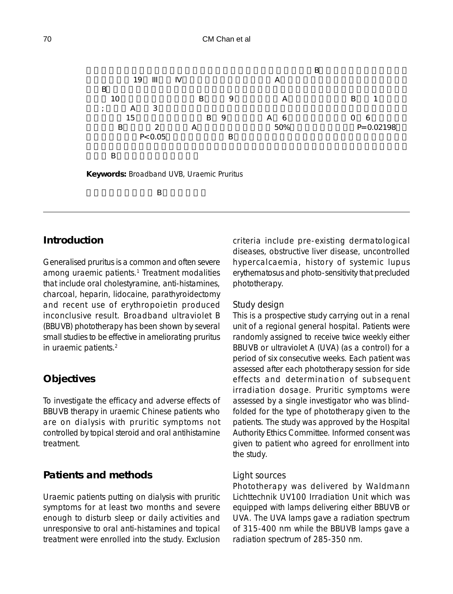

# **Introduction**

Generalised pruritus is a common and often severe among uraemic patients.<sup>1</sup> Treatment modalities that include oral cholestyramine, anti-histamines, charcoal, heparin, lidocaine, parathyroidectomy and recent use of erythropoietin produced inconclusive result. Broadband ultraviolet B (BBUVB) phototherapy has been shown by several small studies to be effective in ameliorating pruritus in uraemic patients.2

# **Objectives**

To investigate the efficacy and adverse effects of BBUVB therapy in uraemic Chinese patients who are on dialysis with pruritic symptoms not controlled by topical steroid and oral antihistamine treatment.

# **Patients and methods**

Uraemic patients putting on dialysis with pruritic symptoms for at least two months and severe enough to disturb sleep or daily activities and unresponsive to oral anti-histamines and topical treatment were enrolled into the study. Exclusion criteria include pre-existing dermatological diseases, obstructive liver disease, uncontrolled hypercalcaemia, history of systemic lupus erythematosus and photo-sensitivity that precluded phototherapy.

### *Study design*

This is a prospective study carrying out in a renal unit of a regional general hospital. Patients were randomly assigned to receive twice weekly either BBUVB or ultraviolet A (UVA) (as a control) for a period of six consecutive weeks. Each patient was assessed after each phototherapy session for side effects and determination of subsequent irradiation dosage. Pruritic symptoms were assessed by a single investigator who was blindfolded for the type of phototherapy given to the patients. The study was approved by the Hospital Authority Ethics Committee. Informed consent was given to patient who agreed for enrollment into the study.

### *Light sources*

Phototherapy was delivered by Waldmann Lichttechnik UV100 Irradiation Unit which was equipped with lamps delivering either BBUVB or UVA. The UVA lamps gave a radiation spectrum of 315-400 nm while the BBUVB lamps gave a radiation spectrum of 285-350 nm.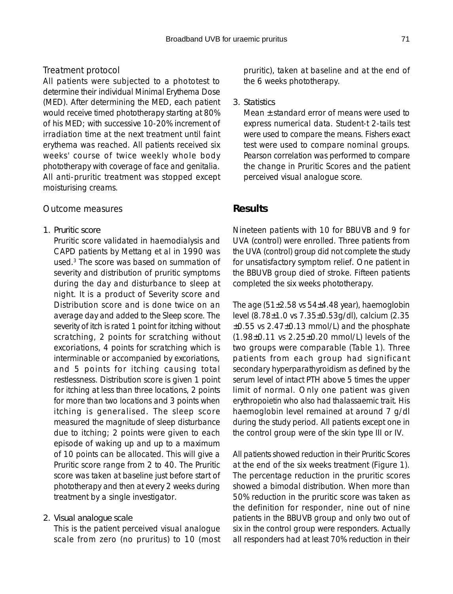# *Treatment protocol*

All patients were subjected to a phototest to determine their individual Minimal Erythema Dose (MED). After determining the MED, each patient would receive timed phototherapy starting at 80% of his MED; with successive 10-20% increment of irradiation time at the next treatment until faint erythema was reached. All patients received six weeks' course of twice weekly whole body phototherapy with coverage of face and genitalia. All anti-pruritic treatment was stopped except moisturising creams.

#### *Outcome measures*

#### *1. Pruritic score*

Pruritic score validated in haemodialysis and CAPD patients by Mettang et al in 1990 was used.3 The score was based on summation of severity and distribution of pruritic symptoms during the day and disturbance to sleep at night. It is a product of Severity score and Distribution score and is done twice on an average day and added to the Sleep score. The severity of itch is rated 1 point for itching without scratching, 2 points for scratching without excoriations, 4 points for scratching which is interminable or accompanied by excoriations, and 5 points for itching causing total restlessness. Distribution score is given 1 point for itching at less than three locations, 2 points for more than two locations and 3 points when itching is generalised. The sleep score measured the magnitude of sleep disturbance due to itching; 2 points were given to each episode of waking up and up to a maximum of 10 points can be allocated. This will give a Pruritic score range from 2 to 40. The Pruritic score was taken at baseline just before start of phototherapy and then at every 2 weeks during treatment by a single investigator.

## *2. Visual analogue scale*

This is the patient perceived visual analogue scale from zero (no pruritus) to 10 (most pruritic), taken at baseline and at the end of the 6 weeks phototherapy.

### *3. Statistics*

Mean ± standard error of means were used to express numerical data. Student-t 2-tails test were used to compare the means. Fishers exact test were used to compare nominal groups. Pearson correlation was performed to compare the change in Pruritic Scores and the patient perceived visual analogue score.

## **Results**

Nineteen patients with 10 for BBUVB and 9 for UVA (control) were enrolled. Three patients from the UVA (control) group did not complete the study for unsatisfactory symptom relief. One patient in the BBUVB group died of stroke. Fifteen patients completed the six weeks phototherapy.

The age (51±2.58 vs 54±4.48 year), haemoglobin level (8.78±1.0 vs 7.35±0.53g/dl), calcium (2.35 ±0.55 vs 2.47±0.13 mmol/L) and the phosphate (1.98±0.11 vs 2.25±0.20 mmol/L) levels of the two groups were comparable (Table 1). Three patients from each group had significant secondary hyperparathyroidism as defined by the serum level of intact PTH above 5 times the upper limit of normal. Only one patient was given erythropoietin who also had thalassaemic trait. His haemoglobin level remained at around 7 g/dl during the study period. All patients except one in the control group were of the skin type III or IV.

All patients showed reduction in their Pruritic Scores at the end of the six weeks treatment (Figure 1). The percentage reduction in the pruritic scores showed a bimodal distribution. When more than 50% reduction in the pruritic score was taken as the definition for responder, nine out of nine patients in the BBUVB group and only two out of six in the control group were responders. Actually all responders had at least 70% reduction in their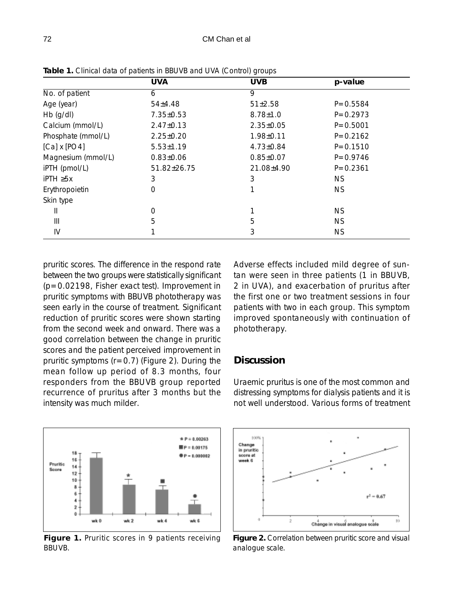|                     | <b>UVA</b>      | <b>UVB</b>      | p-value      |
|---------------------|-----------------|-----------------|--------------|
| No. of patient      | 6               | 9               |              |
| Age (year)          | 54±4.48         | 51±2.58         | $P = 0.5584$ |
| $Hb$ (g/dl)         | 7.35±0.53       | $8.78 \pm 1.0$  | $P = 0.2973$ |
| Calcium (mmol/L)    | $2.47 \pm 0.13$ | $2.35 \pm 0.05$ | $P = 0.5001$ |
| Phosphate (mmol/L)  | $2.25 \pm 0.20$ | 1.98±0.11       | $P = 0.2162$ |
| $[Ca] \times [PO4]$ | $5.53 \pm 1.19$ | $4.73 \pm 0.84$ | $P = 0.1510$ |
| Magnesium (mmol/L)  | $0.83 \pm 0.06$ | $0.85 \pm 0.07$ | $P = 0.9746$ |
| iPTH (pmol/L)       | 51.82±26.75     | 21.08±4.90      | $P = 0.2361$ |
| $i$ PTH $\geq 5x$   | 3               | 3               | NS.          |
| Erythropoietin      | 0               |                 | NS.          |
| Skin type           |                 |                 |              |
| Ш                   | 0               | 1               | <b>NS</b>    |
| Ш                   | 5               | 5               | <b>NS</b>    |
| IV                  |                 | 3               | <b>NS</b>    |

**Table 1.** Clinical data of patients in BBUVB and UVA (Control) groups

pruritic scores. The difference in the respond rate between the two groups were statistically significant (p=0.02198, Fisher exact test). Improvement in pruritic symptoms with BBUVB phototherapy was seen early in the course of treatment. Significant reduction of pruritic scores were shown starting from the second week and onward. There was a good correlation between the change in pruritic scores and the patient perceived improvement in pruritic symptoms  $(r=0.7)$  (Figure 2). During the mean follow up period of 8.3 months, four responders from the BBUVB group reported recurrence of pruritus after 3 months but the intensity was much milder.



### **Discussion**



**Figure 1.** Pruritic scores in 9 patients receiving BBUVB.





**Figure 2.** Correlation between pruritic score and visual analogue scale.